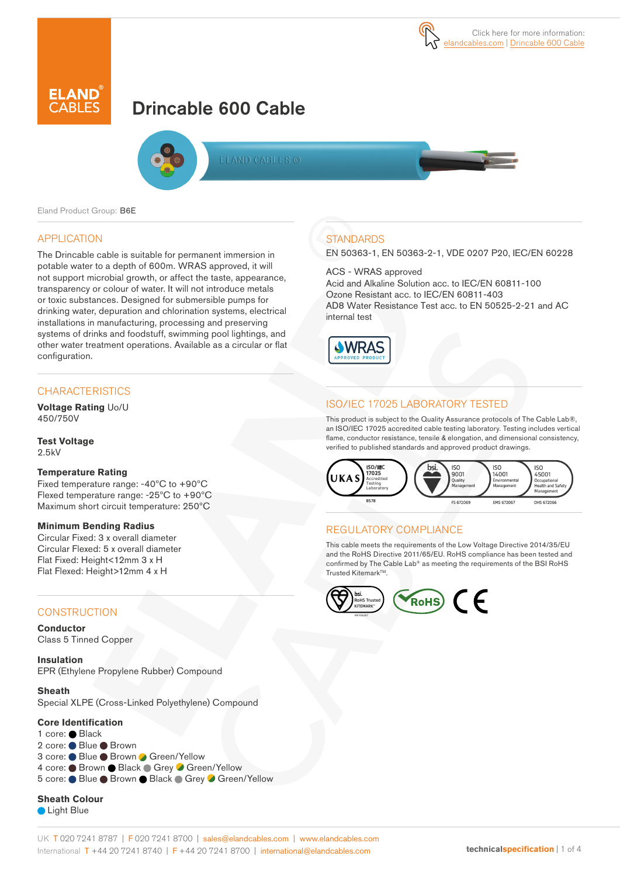



# Drincable 600 Cable



**FLAND CABLES @** 

Eland Product Group: B6E

### APPLICATION

The Drincable cable is suitable for permanent immersion in potable water to a depth of 600m. WRAS approved, it will not support microbial growth, or affect the taste, appearance, transparency or colour of water. It will not introduce metals or toxic substances. Designed for submersible pumps for drinking water, depuration and chlorination systems, electrical installations in manufacturing, processing and preserving systems of drinks and foodstuff, swimming pool lightings, and other water treatment operations. Available as a circular or flat configuration.

### **CHARACTERISTICS**

**Voltage Rating** Uo/U 450/750V

**Test Voltage** 2.5kV

#### **Temperature Rating**

Fixed temperature range: -40ºC to +90ºC Flexed temperature range: -25ºC to +90ºC Maximum short circuit temperature: 250ºC

#### **Minimum Bending Radius**

Circular Fixed: 3 x overall diameter Circular Flexed: 5 x overall diameter Flat Fixed: Height<12mm 3 x H Flat Flexed: Height>12mm 4 x H

#### **CONSTRUCTION**

**Conductor** Class 5 Tinned Copper

**Insulation** EPR (Ethylene Propylene Rubber) Compound

**Sheath** Special XLPE (Cross-Linked Polyethylene) Compound

#### **Core Identification**

1 core: Black 2 core: ● Blue ● Brown 3 core: ● Blue ● Brown ● Green/Yellow 4 core: Brown Black Grey Green/Yellow 5 core: Blue Brown Black Grey Green/Yellow

**Sheath Colour**

**C** Light Blue

### **STANDARDS**

EN 50363-1, EN 50363-2-1, VDE 0207 P20, IEC/EN 60228

ACS - WRAS approved

Acid and Alkaline Solution acc. to IEC/EN 60811-100 Ozone Resistant acc. to IEC/EN 60811-403 AD8 Water Resistance Test acc. to EN 50525-2-21 and AC internal test



### ISO/IEC 17025 LABORATORY TESTED

This product is subject to the Quality Assurance protocols of The Cable Lab®, an ISO/IEC 17025 accredited cable testing laboratory. Testing includes vertical flame, conductor resistance, tensile & elongation, and dimensional consistency, verified to published standards and approved product drawings.



### REGULATORY COMPLIANCE

This cable meets the requirements of the Low Voltage Directive 2014/35/EU and the RoHS Directive 2011/65/EU. RoHS compliance has been tested and confirmed by The Cable Lab® as meeting the requirements of the BSI RoHS Trusted Kitemark™

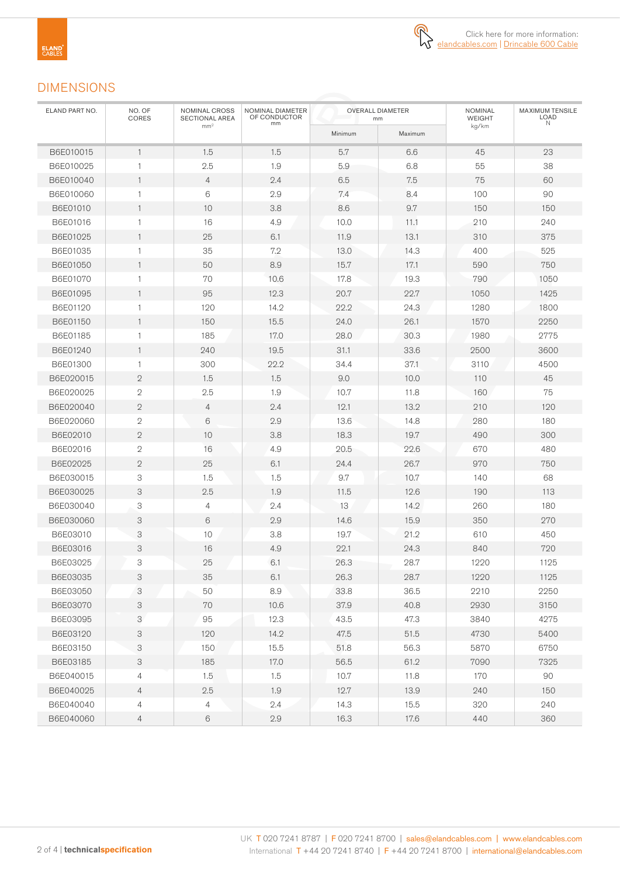

# DIMENSIONS

| ELAND PART NO. | NO. OF<br>CORES | NOMINAL CROSS<br>SECTIONAL AREA | NOMINAL DIAMETER<br>OF CONDUCTOR<br>mm |         | <b>OVERALL DIAMETER</b><br>mm | NOMINAL<br><b>WEIGHT</b> | MAXIMUM TENSILE<br><b>LOAD</b><br>N |  |
|----------------|-----------------|---------------------------------|----------------------------------------|---------|-------------------------------|--------------------------|-------------------------------------|--|
|                |                 | mm <sup>2</sup>                 |                                        | Minimum | Maximum                       | kg/km                    |                                     |  |
| B6E010015      | $\mathbf{1}$    | 1.5                             | 1.5                                    | 5.7     | 6.6                           | 45                       | 23                                  |  |
| B6E010025      | $\mathbf{1}$    | 2.5                             | 1.9                                    | 5.9     | 6.8                           | 55                       | 38                                  |  |
| B6E010040      | $\mathbf{1}$    | $\overline{4}$                  | 2.4                                    | 6.5     | 7.5                           | 75                       | 60                                  |  |
| B6E010060      | $\mathbf{1}$    | 6                               | 2.9                                    | 7.4     | 8.4                           | 100                      | 90                                  |  |
| B6E01010       | $\mathbf{1}$    | 10                              | 3.8                                    | 8.6     | 9.7                           | 150                      | 150                                 |  |
| B6E01016       | 1               | 16                              | 4.9                                    | 10.0    | 11.1                          | 210                      | 240                                 |  |
| B6E01025       | $\mathbf{1}$    | 25                              | 6.1                                    | 11.9    | 13.1                          | 310                      | 375                                 |  |
| B6E01035       | $\mathbf{1}$    | 35                              | 7.2                                    | 13.0    | 14.3                          | 400                      | 525                                 |  |
| B6E01050       | 1               | 50                              | 8.9                                    | 15.7    | 17.1                          | 590                      | 750                                 |  |
| B6E01070       | 1               | 70                              | 10.6                                   | 17.8    | 19.3                          | 790                      | 1050                                |  |
| B6E01095       | $\mathbf{1}$    | 95                              | 12.3                                   | 20.7    | 22.7                          | 1050                     | 1425                                |  |
| B6E01120       | $\mathbf{1}$    | 120                             | 14.2                                   | 22.2    | 24.3                          | 1280                     | 1800                                |  |
| B6E01150       | 1               | 150                             | 15.5                                   | 24.0    | 26.1                          | 1570                     | 2250                                |  |
| B6E01185       | 1               | 185                             | 17.0                                   | 28.0    | 30.3                          | 1980                     | 2775                                |  |
| B6E01240       | 1               | 240                             | 19.5                                   | 31.1    | 33.6                          | 2500                     | 3600                                |  |
| B6E01300       | $\mathbf{1}$    | 300                             | 22.2                                   | 34.4    | 37.1                          | 3110                     | 4500                                |  |
| B6E020015      | $\mathbf{2}$    | 1.5                             | 1.5                                    | 9.0     | 10.0                          | 110                      | 45                                  |  |
| B6E020025      | $\mathbf{2}$    | 2.5                             | 1.9                                    | 10.7    | 11.8                          | 160                      | 75                                  |  |
| B6E020040      | $\mathbf{2}$    | $\overline{4}$                  | 2.4                                    | 12.1    | 13.2                          | 210                      | 120                                 |  |
| B6E020060      | $\mathbf{2}$    | 6                               | 2.9                                    | 13.6    | 14.8                          | 280                      | 180                                 |  |
| B6E02010       | $\mathbf{2}$    | 10                              | 3.8                                    | 18.3    | 19.7                          | 490                      | 300                                 |  |
| B6E02016       | $\mathbf{2}$    | 16                              | 4.9                                    | 20.5    | 22.6                          | 670                      | 480                                 |  |
| B6E02025       | $\mathbf 2$     | 25                              | 6.1                                    | 24.4    | 26.7                          | 970                      | 750                                 |  |
| B6E030015      | 3               | 1.5                             | 1.5                                    | 9.7     | 10.7                          | 140                      | 68                                  |  |
| B6E030025      | 3               | 2.5                             | 1.9                                    | 11.5    | 12.6                          | 190                      | 113                                 |  |
| B6E030040      | 3               | $\overline{4}$                  | 2.4                                    | 13      | 14.2                          | 260                      | 180                                 |  |
| B6E030060      | 3               | 6                               | 2.9                                    | 14.6    | 15.9                          | 350                      | 270                                 |  |
| B6E03010       | 3               | 10                              | 3.8                                    | 19.7    | 21.2                          | 610                      | 450                                 |  |
| B6E03016       | 3               | 16                              | 4.9                                    | 22.1    | 24.3                          | 840                      | 720                                 |  |
| B6E03025       | 3               | 25                              | 6.1                                    | 26.3    | 28.7                          | 1220                     | 1125                                |  |
| B6E03035       | 3               | 35                              | 6.1                                    | 26.3    | 28.7                          | 1220                     | 1125                                |  |
| B6E03050       | 3               | 50                              | 8.9                                    | 33.8    | 36.5                          | 2210                     | 2250                                |  |
| B6E03070       | 3               | 70                              | 10.6                                   | 37.9    | 40.8                          | 2930                     | 3150                                |  |
| B6E03095       | 3               | 95                              | 12.3                                   | 43.5    | 47.3                          | 3840                     | 4275                                |  |
| B6E03120       | 3               | 120                             | 14.2                                   | 47.5    | 51.5                          | 4730                     | 5400                                |  |
| B6E03150       | 3               | 150                             | 15.5                                   | 51.8    | 56.3                          | 5870                     | 6750                                |  |
| B6E03185       | 3               | 185                             | 17.0                                   | 56.5    | 61.2                          | 7090                     | 7325                                |  |
| B6E040015      | 4               | 1.5                             | 1.5                                    | 10.7    | 11.8                          | 170                      | 90                                  |  |
| B6E040025      | $\overline{4}$  | $2.5\,$                         | 1.9                                    | 12.7    | 13.9                          | 240                      | 150                                 |  |
| B6E040040      | $\overline{4}$  | $\overline{4}$                  | 2.4                                    | 14.3    | 15.5                          | 320                      | 240                                 |  |
| B6E040060      | $\overline{4}$  | $6\phantom{.}6$                 | $2.9\,$                                | 16.3    | 17.6                          | 440                      | 360                                 |  |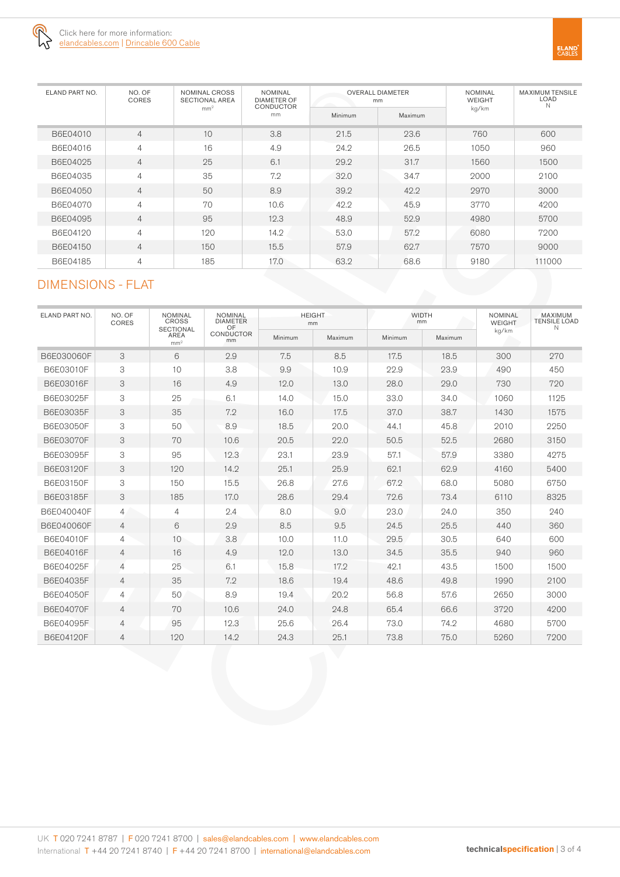

| ELAND PART NO. | NO. OF<br><b>CORES</b> | NOMINAL CROSS<br><b>SECTIONAL AREA</b><br>mm <sup>2</sup> | <b>NOMINAL</b><br><b>DIAMETER OF</b><br><b>CONDUCTOR</b><br>mm |         | <b>OVERALL DIAMETER</b><br>mm | <b>NOMINAL</b><br><b>WEIGHT</b><br>kg/km | <b>MAXIMUM TENSILE</b><br>LOAD<br>N. |
|----------------|------------------------|-----------------------------------------------------------|----------------------------------------------------------------|---------|-------------------------------|------------------------------------------|--------------------------------------|
|                |                        |                                                           |                                                                | Minimum | Maximum                       |                                          |                                      |
| B6E04010       | 4                      | 10                                                        | 3.8                                                            | 21.5    | 23.6                          | 760                                      | 600                                  |
| B6E04016       | 4                      | 16                                                        | 4.9                                                            | 24.2    | 26.5                          | 1050                                     | 960                                  |
| B6E04025       | $\overline{4}$         | 25                                                        | 6.1                                                            | 29.2    | 31.7                          | 1560                                     | 1500                                 |
| B6E04035       | 4                      | 35                                                        | 7.2                                                            | 32.0    | 34.7                          | 2000                                     | 2100                                 |
| B6E04050       | $\overline{4}$         | 50                                                        | 8.9                                                            | 39.2    | 42.2                          | 2970                                     | 3000                                 |
| B6E04070       | 4                      | 70                                                        | 10.6                                                           | 42.2    | 45.9                          | 3770                                     | 4200                                 |
| B6E04095       | $\overline{4}$         | 95                                                        | 12.3                                                           | 48.9    | 52.9                          | 4980                                     | 5700                                 |
| B6E04120       | 4                      | 120                                                       | 14.2                                                           | 53.0    | 57.2                          | 6080                                     | 7200                                 |
| B6E04150       | $\overline{4}$         | 150                                                       | 15.5                                                           | 57.9    | 62.7                          | 7570                                     | 9000                                 |
| B6E04185       | 4                      | 185                                                       | 17.0                                                           | 63.2    | 68.6                          | 9180                                     | 111000                               |

# DIMENSIONS - FLAT

| ELAND PART NO. | NO. OF<br>CORES | <b>NOMINAL</b><br><b>CROSS</b><br><b>SECTIONAL</b><br><b>AREA</b><br>mm <sup>2</sup> | <b>NOMINAL</b><br><b>DIAMETER</b><br>OF<br><b>CONDUCTOR</b><br>mm | <b>HEIGHT</b><br>mm |         | <b>WIDTH</b><br>mm |         | <b>NOMINAL</b><br><b>WEIGHT</b> | <b>MAXIMUM</b><br><b>TENSILE LOAD</b><br>N |
|----------------|-----------------|--------------------------------------------------------------------------------------|-------------------------------------------------------------------|---------------------|---------|--------------------|---------|---------------------------------|--------------------------------------------|
|                |                 |                                                                                      |                                                                   | Minimum             | Maximum | Minimum            | Maximum | kg/km                           |                                            |
| B6E030060F     | 3               | 6                                                                                    | 2.9                                                               | 7.5                 | 8.5     | 17.5               | 18.5    | 300                             | 270                                        |
| B6E03010F      | 3               | 10                                                                                   | 3.8                                                               | 9.9                 | 10.9    | 22.9               | 23.9    | 490                             | 450                                        |
| B6E03016F      | 3               | 16                                                                                   | 4.9                                                               | 12.0                | 13.0    | 28.0               | 29.0    | 730                             | 720                                        |
| B6E03025F      | 3               | 25                                                                                   | 6.1                                                               | 14.0                | 15.0    | 33.0               | 34.0    | 1060                            | 1125                                       |
| B6E03035F      | 3               | 35                                                                                   | 7.2                                                               | 16.0                | 17.5    | 37.0               | 38.7    | 1430                            | 1575                                       |
| B6E03050F      | 3               | 50                                                                                   | 8.9                                                               | 18.5                | 20.0    | 44.1               | 45.8    | 2010                            | 2250                                       |
| B6E03070F      | 3               | 70                                                                                   | 10.6                                                              | 20.5                | 22.0    | 50.5               | 52.5    | 2680                            | 3150                                       |
| B6E03095F      | 3               | 95                                                                                   | 12.3                                                              | 23.1                | 23.9    | 57.1               | 57.9    | 3380                            | 4275                                       |
| B6E03120F      | 3               | 120                                                                                  | 14.2                                                              | 25.1                | 25.9    | 62.1               | 62.9    | 4160                            | 5400                                       |
| B6E03150F      | 3               | 150                                                                                  | 15.5                                                              | 26.8                | 27.6    | 67.2               | 68.0    | 5080                            | 6750                                       |
| B6E03185F      | 3               | 185                                                                                  | 17.0                                                              | 28.6                | 29.4    | 72.6               | 73.4    | 6110                            | 8325                                       |
| B6E040040F     | $\overline{4}$  | $\overline{4}$                                                                       | 2.4                                                               | 8.0                 | 9.0     | 23.0               | 24.0    | 350                             | 240                                        |
| B6E040060F     | $\overline{4}$  | 6                                                                                    | 2.9                                                               | 8.5                 | 9.5     | 24.5               | 25.5    | 440                             | 360                                        |
| B6E04010F      | $\overline{4}$  | 10                                                                                   | 3.8                                                               | 10.0                | 11.0    | 29.5               | 30.5    | 640                             | 600                                        |
| B6E04016F      | $\overline{4}$  | 16                                                                                   | 4.9                                                               | 12.0                | 13.0    | 34.5               | 35.5    | 940                             | 960                                        |
| B6E04025F      | $\overline{4}$  | 25                                                                                   | 6.1                                                               | 15.8                | 17.2    | 42.1               | 43.5    | 1500                            | 1500                                       |
| B6E04035F      | $\overline{4}$  | 35                                                                                   | 7.2                                                               | 18.6                | 19.4    | 48.6               | 49.8    | 1990                            | 2100                                       |
| B6E04050F      | $\overline{4}$  | 50                                                                                   | 8.9                                                               | 19.4                | 20.2    | 56.8               | 57.6    | 2650                            | 3000                                       |
| B6E04070F      | $\overline{4}$  | 70                                                                                   | 10.6                                                              | 24.0                | 24.8    | 65.4               | 66.6    | 3720                            | 4200                                       |
| B6E04095F      | $\overline{4}$  | 95                                                                                   | 12.3                                                              | 25.6                | 26.4    | 73.0               | 74.2    | 4680                            | 5700                                       |
| B6E04120F      | 4               | 120                                                                                  | 14.2                                                              | 24.3                | 25.1    | 73.8               | 75.0    | 5260                            | 7200                                       |